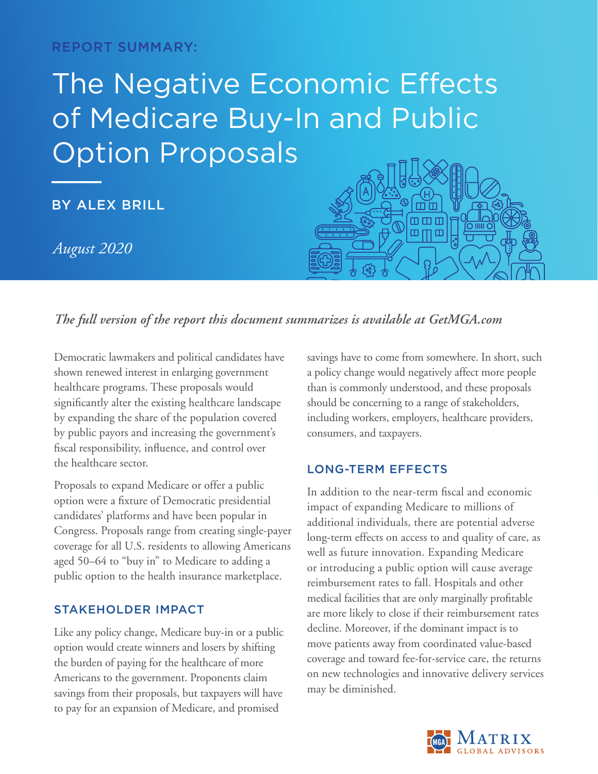REPORT SUMMARY:

# The Negative Economic Effects of Medicare Buy-In and Public Option Proposals

BY ALEX BRILL

*August 2020*



# *The full version of the report this document summarizes is available at GetMGA.com*

Democratic lawmakers and political candidates have shown renewed interest in enlarging government healthcare programs. These proposals would significantly alter the existing healthcare landscape by expanding the share of the population covered by public payors and increasing the government's fiscal responsibility, influence, and control over the healthcare sector.

Proposals to expand Medicare or offer a public option were a fixture of Democratic presidential candidates' platforms and have been popular in Congress. Proposals range from creating single-payer coverage for all U.S. residents to allowing Americans aged 50–64 to "buy in" to Medicare to adding a public option to the health insurance marketplace.

## STAKEHOLDER IMPACT

Like any policy change, Medicare buy-in or a public option would create winners and losers by shifting the burden of paying for the healthcare of more Americans to the government. Proponents claim savings from their proposals, but taxpayers will have to pay for an expansion of Medicare, and promised

savings have to come from somewhere. In short, such a policy change would negatively affect more people than is commonly understood, and these proposals should be concerning to a range of stakeholders, including workers, employers, healthcare providers, consumers, and taxpayers.

## LONG-TERM EFFECTS

In addition to the near-term fiscal and economic impact of expanding Medicare to millions of additional individuals, there are potential adverse long-term effects on access to and quality of care, as well as future innovation. Expanding Medicare or introducing a public option will cause average reimbursement rates to fall. Hospitals and other medical facilities that are only marginally profitable are more likely to close if their reimbursement rates decline. Moreover, if the dominant impact is to move patients away from coordinated value-based coverage and toward fee-for-service care, the returns on new technologies and innovative delivery services may be diminished.